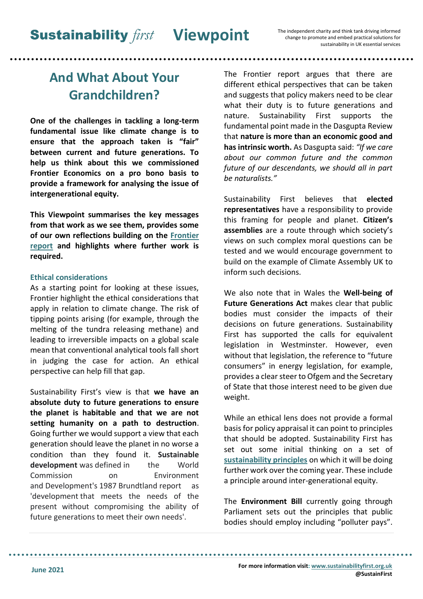# **And What About Your Grandchildren?**

**One of the challenges in tackling a long-term fundamental issue like climate change is to ensure that the approach taken is "fair" between current and future generations. To help us think about this we commissioned Frontier Economics on a pro bono basis to provide a framework for analysing the issue of intergenerational equity.**

**This Viewpoint summarises the key messages from that work as we see them, provides some of our own reflections building on the [Frontier](https://www.sustainabilityfirst.org.uk/publications-project-research-reports/286-a-framework-for-assessing-intergenerational-fairness)  [report](https://www.sustainabilityfirst.org.uk/publications-project-research-reports/286-a-framework-for-assessing-intergenerational-fairness) and highlights where further work is required.**

## **Ethical considerations**

As a starting point for looking at these issues, Frontier highlight the ethical considerations that apply in relation to climate change. The risk of tipping points arising (for example, through the melting of the tundra releasing methane) and leading to irreversible impacts on a global scale mean that conventional analytical tools fall short in judging the case for action. An ethical perspective can help fill that gap.

Sustainability First's view is that **we have an absolute duty to future generations to ensure the planet is habitable and that we are not setting humanity on a path to destruction**. Going further we would support a view that each generation should leave the planet in no worse a condition than they found it. **Sustainable development** was defined in the World Commission on Environment and Development's 1987 Brundtland report as 'development that meets the needs of the present without compromising the ability of future generations to meet their own needs'.

The Frontier report argues that there are different ethical perspectives that can be taken and suggests that policy makers need to be clear what their duty is to future generations and nature. Sustainability First supports the fundamental point made in the Dasgupta Review that **nature is more than an economic good and has intrinsic worth.** As Dasgupta said: *"If we care about our common future and the common future of our descendants, we should all in part be naturalists."* 

Sustainability First believes that **elected representatives** have a responsibility to provide this framing for people and planet. **Citizen's assemblies** are a route through which society's views on such complex moral questions can be tested and we would encourage government to build on the example of Climate Assembly UK to inform such decisions.

We also note that in Wales the **Well-being of Future Generations Act** makes clear that public bodies must consider the impacts of their decisions on future generations. Sustainability First has supported the calls for equivalent legislation in Westminster. However, even without that legislation, the reference to "future consumers" in energy legislation, for example, provides a clear steer to Ofgem and the Secretary of State that those interest need to be given due weight.

While an ethical lens does not provide a formal basis for policy appraisal it can point to principles that should be adopted. Sustainability First has set out some initial thinking on a set of **[sustainability principles](https://sustainabilityfirst.org.uk/images/publications/other/Sustainability_Principles_Viewpoint.pdf)** on which it will be doing further work over the coming year. These include a principle around inter-generational equity.

The **Environment Bill** currently going through Parliament sets out the principles that public bodies should employ including "polluter pays".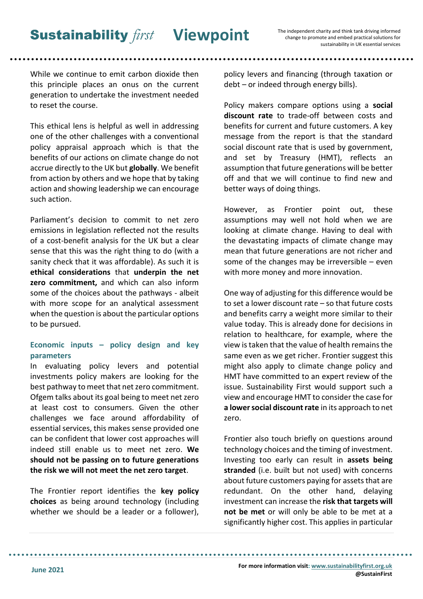While we continue to emit carbon dioxide then this principle places an onus on the current generation to undertake the investment needed to reset the course.

This ethical lens is helpful as well in addressing one of the other challenges with a conventional policy appraisal approach which is that the benefits of our actions on climate change do not accrue directly to the UK but **globally**. We benefit from action by others and we hope that by taking action and showing leadership we can encourage such action.

Parliament's decision to commit to net zero emissions in legislation reflected not the results of a cost-benefit analysis for the UK but a clear sense that this was the right thing to do (with a sanity check that it was affordable). As such it is **ethical considerations** that **underpin the net zero commitment,** and which can also inform some of the choices about the pathways - albeit with more scope for an analytical assessment when the question is about the particular options to be pursued.

# **Economic inputs – policy design and key parameters**

In evaluating policy levers and potential investments policy makers are looking for the best pathway to meet that net zero commitment. Ofgem talks about its goal being to meet net zero at least cost to consumers. Given the other challenges we face around affordability of essential services, this makes sense provided one can be confident that lower cost approaches will indeed still enable us to meet net zero. **We should not be passing on to future generations the risk we will not meet the net zero target**.

The Frontier report identifies the **key policy choices** as being around technology (including whether we should be a leader or a follower),

policy levers and financing (through taxation or debt – or indeed through energy bills).

Policy makers compare options using a **social discount rate** to trade-off between costs and benefits for current and future customers. A key message from the report is that the standard social discount rate that is used by government, and set by Treasury (HMT), reflects an assumption that future generations will be better off and that we will continue to find new and better ways of doing things.

However, as Frontier point out, these assumptions may well not hold when we are looking at climate change. Having to deal with the devastating impacts of climate change may mean that future generations are not richer and some of the changes may be irreversible – even with more money and more innovation.

One way of adjusting for this difference would be to set a lower discount rate – so that future costs and benefits carry a weight more similar to their value today. This is already done for decisions in relation to healthcare, for example, where the view is taken that the value of health remains the same even as we get richer. Frontier suggest this might also apply to climate change policy and HMT have committed to an expert review of the issue. Sustainability First would support such a view and encourage HMT to consider the case for **a lower social discount rate** in its approach to net zero.

Frontier also touch briefly on questions around technology choices and the timing of investment. Investing too early can result in **assets being stranded** (i.e. built but not used) with concerns about future customers paying for assets that are redundant. On the other hand, delaying investment can increase the **risk that targets will not be met** or will only be able to be met at a significantly higher cost. This applies in particular

**For more information visit[: www.sustainabilityfirst.org.uk](http://www.sustainabilityfirst.org.uk/) @SustainFirst**

. . . . . . . .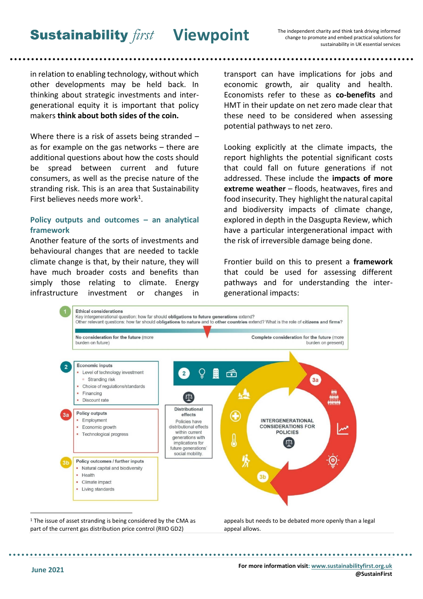**Sustainability first Viewpoint** 

The independent charity and think tank driving informed change to promote and embed practical solutions for sustainability in UK essential services

. . . . . . . . . . . . . . . . . . .

in relation to enabling technology, without which other developments may be held back. In thinking about strategic investments and intergenerational equity it is important that policy makers **think about both sides of the coin.**

Where there is a risk of assets being stranded – as for example on the gas networks – there are additional questions about how the costs should be spread between current and future consumers, as well as the precise nature of the stranding risk. This is an area that Sustainability First believes needs more work<sup>1</sup>.

#### **Policy outputs and outcomes – an analytical framework**

Another feature of the sorts of investments and behavioural changes that are needed to tackle climate change is that, by their nature, they will have much broader costs and benefits than simply those relating to climate. Energy infrastructure investment or changes in transport can have implications for jobs and economic growth, air quality and health. Economists refer to these as **co-benefits** and HMT in their update on net zero made clear that these need to be considered when assessing potential pathways to net zero.

Looking explicitly at the climate impacts, the report highlights the potential significant costs that could fall on future generations if not addressed. These include the **impacts of more extreme weather** – floods, heatwaves, fires and food insecurity. They highlight the natural capital and biodiversity impacts of climate change, explored in depth in the Dasgupta Review, which have a particular intergenerational impact with the risk of irreversible damage being done.

Frontier build on this to present a **framework** that could be used for assessing different pathways and for understanding the intergenerational impacts:



 $1$  The issue of asset stranding is being considered by the CMA as part of the current gas distribution price control (RIIO GD2)

. . . . . . . . . . . . . .

appeals but needs to be debated more openly than a legal appeal allows.